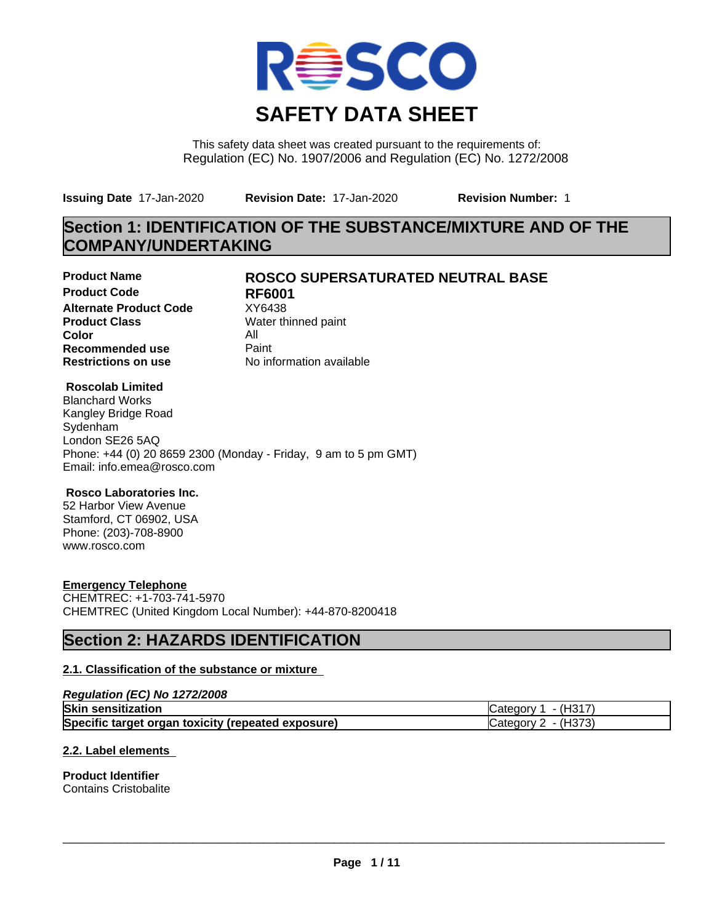

This safety data sheet was created pursuant to the requirements of: Regulation (EC) No. 1907/2006 and Regulation (EC) No. 1272/2008

**Issuing Date** 17-Jan-2020 **Revision Date:** 17-Jan-2020 **Revision Number:** 1

# **Section 1: IDENTIFICATION OF THE SUBSTANCE/MIXTURE AND OF THE COMPANY/UNDERTAKING**

**Product Code RF6001 Alternate Product Code** XY6438<br> **Product Class** Water th **Color** All **Recommended use** Paint<br> **Restrictions on use** Mo information available **Restrictions on use** 

## **Product Name ROSCO SUPERSATURATED NEUTRAL BASE**

**Water thinned paint** 

#### **Roscolab Limited**

Blanchard Works Kangley Bridge Road Sydenham London SE26 5AQ Phone: +44 (0) 20 8659 2300 (Monday - Friday, 9 am to 5 pm GMT) Email: info.emea@rosco.com

#### **Rosco Laboratories Inc.**

52 Harbor View Avenue Stamford, CT 06902, USA Phone: (203)-708-8900 www.rosco.com

#### **Emergency Telephone**

CHEMTREC: +1-703-741-5970 CHEMTREC (United Kingdom Local Number): +44-870-8200418

# **Section 2: HAZARDS IDENTIFICATION**

#### **2.1. Classification of the substance or mixture**

#### *Regulation (EC) No 1272/2008*

| <b>Skin sensitization</b>                          | - (H317<br><b>ICategory</b> |
|----------------------------------------------------|-----------------------------|
| Specific target organ toxicity (repeated exposure) | - (H373)<br>Category        |

#### **2.2. Label elements**

**Product Identifier** Contains Cristobalite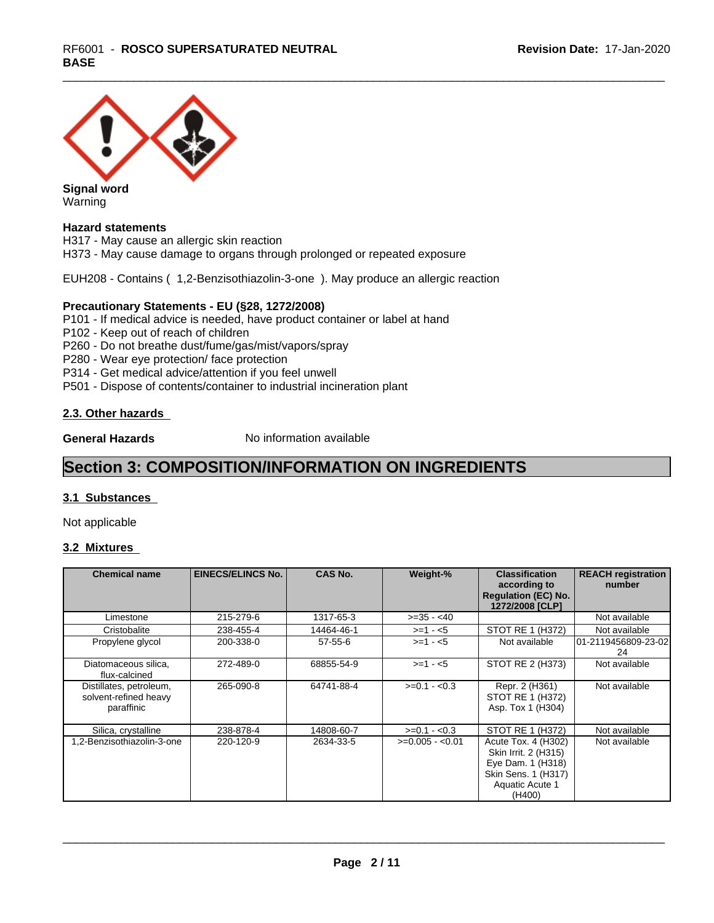

Warning

#### **Hazard statements**

H317 - May cause an allergic skin reaction H373 - May cause damage to organs through prolonged or repeated exposure

EUH208 - Contains ( 1,2-Benzisothiazolin-3-one ). May produce an allergic reaction

#### **Precautionary Statements - EU (§28, 1272/2008)**

P101 - If medical advice is needed, have product container or label at hand

- P102 Keep out of reach of children
- P260 Do not breathe dust/fume/gas/mist/vapors/spray
- P280 Wear eye protection/ face protection
- P314 Get medical advice/attention if you feel unwell
- P501 Dispose of contents/container to industrial incineration plant

#### **2.3. Other hazards**

**General Hazards** No information available

# **Section 3: COMPOSITION/INFORMATION ON INGREDIENTS**

#### **3.1 Substances**

Not applicable

#### **3.2 Mixtures**

| <b>Chemical name</b>                                           | <b>EINECS/ELINCS No.</b> | <b>CAS No.</b> | Weight-%         | <b>Classification</b><br>according to<br><b>Regulation (EC) No.</b><br>1272/2008 [CLP]                               | <b>REACH registration</b><br>number |
|----------------------------------------------------------------|--------------------------|----------------|------------------|----------------------------------------------------------------------------------------------------------------------|-------------------------------------|
| Limestone                                                      | 215-279-6                | 1317-65-3      | $>=35 - 40$      |                                                                                                                      | Not available                       |
| Cristobalite                                                   | 238-455-4                | 14464-46-1     | $>=1 - 5$        | STOT RE 1 (H372)                                                                                                     | Not available                       |
| Propylene glycol                                               | 200-338-0                | $57 - 55 - 6$  | $>=1 - 5$        | Not available                                                                                                        | 101-2119456809-23-021<br>24         |
| Diatomaceous silica,<br>flux-calcined                          | 272-489-0                | 68855-54-9     | $>=1 - 5$        | STOT RE 2 (H373)                                                                                                     | Not available                       |
| Distillates, petroleum,<br>solvent-refined heavy<br>paraffinic | 265-090-8                | 64741-88-4     | $>=0.1 - 0.3$    | Repr. 2 (H361)<br>STOT RE 1 (H372)<br>Asp. Tox 1 (H304)                                                              | Not available                       |
| Silica, crystalline                                            | 238-878-4                | 14808-60-7     | $>=0.1 - 0.3$    | STOT RE 1 (H372)                                                                                                     | Not available                       |
| 1.2-Benzisothiazolin-3-one                                     | 220-120-9                | 2634-33-5      | $>=0.005 - 0.01$ | Acute Tox. 4 (H302)<br>Skin Irrit. 2 (H315)<br>Eye Dam. 1 (H318)<br>Skin Sens. 1 (H317)<br>Aquatic Acute 1<br>(H400) | Not available                       |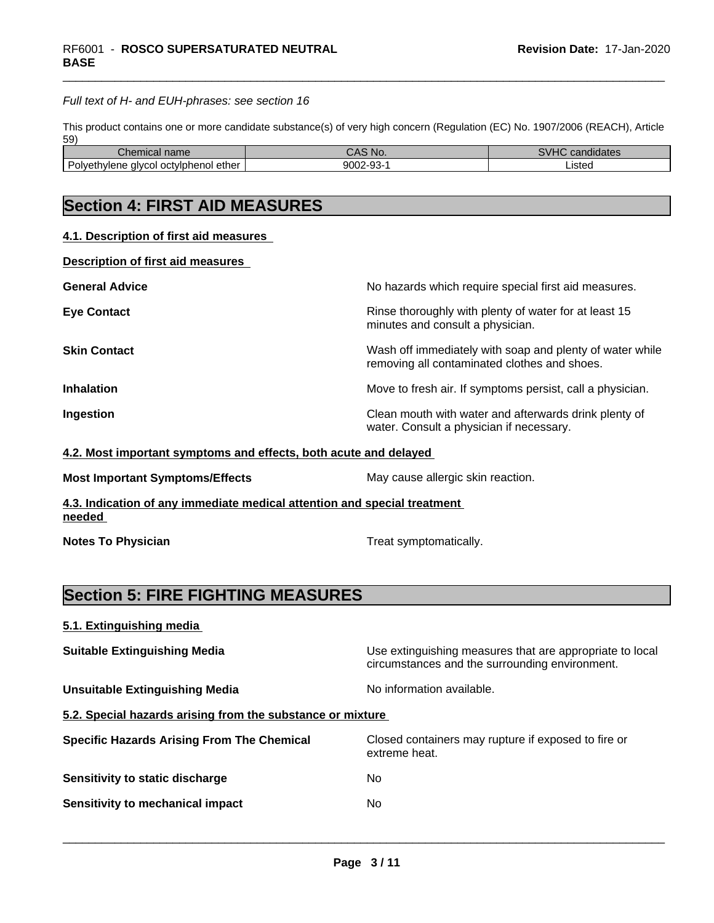#### *Full text of H- and EUH-phrases: see section 16*

This product contains one or more candidate substance(s) of very high concern (Regulation (EC) No. 1907/2006 (REACH), Article 59)

| ----<br>mical name.<br>- IIGF                               | 'NG                                  | .<br>.<br>$\sim$ $\sim$ $\sim$<br>andidate. |
|-------------------------------------------------------------|--------------------------------------|---------------------------------------------|
| <br>ether<br>Polvetr<br>l octviphenol (<br>alvcol<br>hvlene | 9002<br>$\sim$<br>$\sim$ $\sim$<br>ື | .isteo                                      |

# **Section 4: FIRST AID MEASURES**

| 4.1. Description of first aid measures |
|----------------------------------------|
|----------------------------------------|

**Description of first aid measures**

| <b>General Advice</b> | No hazards which require special first aid measures.                                                     |
|-----------------------|----------------------------------------------------------------------------------------------------------|
| <b>Eye Contact</b>    | Rinse thoroughly with plenty of water for at least 15<br>minutes and consult a physician.                |
| <b>Skin Contact</b>   | Wash off immediately with soap and plenty of water while<br>removing all contaminated clothes and shoes. |
| <b>Inhalation</b>     | Move to fresh air. If symptoms persist, call a physician.                                                |
| Ingestion             | Clean mouth with water and afterwards drink plenty of<br>water. Consult a physician if necessary.        |

#### **4.2. Most important symptoms and effects, both acute and delayed**

| May cause allergic skin reaction.<br><b>Most Important Symptoms/Effects</b> |  |
|-----------------------------------------------------------------------------|--|
|-----------------------------------------------------------------------------|--|

**4.3. Indication of any immediate medical attention and special treatment needed** 

**Notes To Physician Treat symptomatically.** Treat symptomatically.

 $\overline{\phantom{a}}$  ,  $\overline{\phantom{a}}$  ,  $\overline{\phantom{a}}$  ,  $\overline{\phantom{a}}$  ,  $\overline{\phantom{a}}$  ,  $\overline{\phantom{a}}$  ,  $\overline{\phantom{a}}$  ,  $\overline{\phantom{a}}$  ,  $\overline{\phantom{a}}$  ,  $\overline{\phantom{a}}$  ,  $\overline{\phantom{a}}$  ,  $\overline{\phantom{a}}$  ,  $\overline{\phantom{a}}$  ,  $\overline{\phantom{a}}$  ,  $\overline{\phantom{a}}$  ,  $\overline{\phantom{a}}$ 

# **Section 5: FIRE FIGHTING MEASURES**

|  | 5.1. Extinguishing media |  |  |
|--|--------------------------|--|--|
|  |                          |  |  |

**Suitable Extinguishing Media** Use extinguishing measures that are appropriate to local circumstances and the surrounding environment. **Unsuitable Extinguishing Media** Noinformation available. **5.2. Special hazards arising from the substance or mixture Specific Hazards Arising From The Chemical** Closed containers may rupture ifexposed to fire or extreme heat. **Sensitivity to static discharge** No

**Sensitivity to mechanical impact** No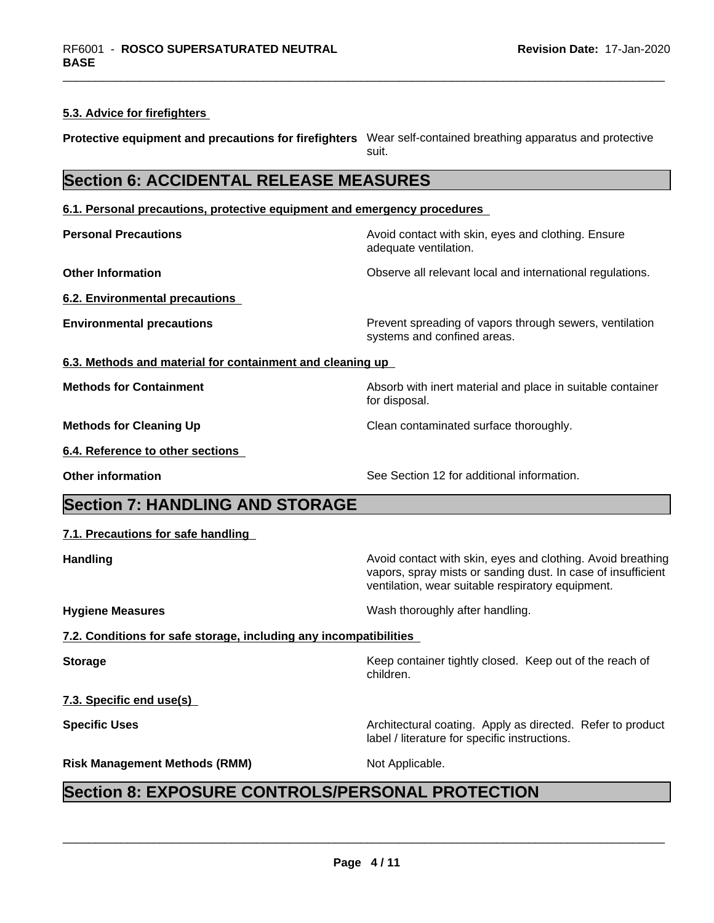#### **5.3. Advice for firefighters**

**Protective equipment and precautions for firefighters** Wear self-contained breathing apparatus and protective suit.

# **Section 6: ACCIDENTAL RELEASE MEASURES**

**6.1. Personal precautions, protective equipment and emergency procedures**

**Personal Precautions Avoid contact with skin, eyes and clothing. Ensure** Avoid contact with skin, eyes and clothing. Ensure adequate ventilation.

**Other Information Observe all relevant local and international regulations.** 

**6.2. Environmental precautions**

**Environmental precautions Environmental precautions Prevent spreading of vapors through sewers, ventilation** systems and confined areas.

vapors, spray mists or sanding dust. In case of insufficient

ventilation, wear suitable respiratory equipment.

label / literature for specific instructions.

**6.3. Methods and material for containment and cleaning up**

**Methods for Containment** Absorb with inert material and place in suitable container

**Methods for Cleaning Up** Clean contaminated surface thoroughly.

**6.4. Reference to other sections**

**Other information** See Section 12 for additional information.

# **Section 7: HANDLING AND STORAGE**

#### **7.1. Precautions for safe handling**

**Handling Handling Avoid contact with skin, eyes and clothing. Avoid breathing** 

**Hygiene Measures** Mash thoroughly after handling.

children.

for disposal.

**7.2. Conditions for safe storage, including any incompatibilities**

**Storage** Storage **Keep container tightly closed.** Keep out of the reach of

**7.3. Specific end use(s)**

**Specific Uses Architectural coating. Apply as directed. Refer to product Specific Uses** 

**Risk Management Methods (RMM)** Not Applicable.

 $\overline{\phantom{a}}$  ,  $\overline{\phantom{a}}$  ,  $\overline{\phantom{a}}$  ,  $\overline{\phantom{a}}$  ,  $\overline{\phantom{a}}$  ,  $\overline{\phantom{a}}$  ,  $\overline{\phantom{a}}$  ,  $\overline{\phantom{a}}$  ,  $\overline{\phantom{a}}$  ,  $\overline{\phantom{a}}$  ,  $\overline{\phantom{a}}$  ,  $\overline{\phantom{a}}$  ,  $\overline{\phantom{a}}$  ,  $\overline{\phantom{a}}$  ,  $\overline{\phantom{a}}$  ,  $\overline{\phantom{a}}$ 

# **Section 8: EXPOSURE CONTROLS/PERSONAL PROTECTION**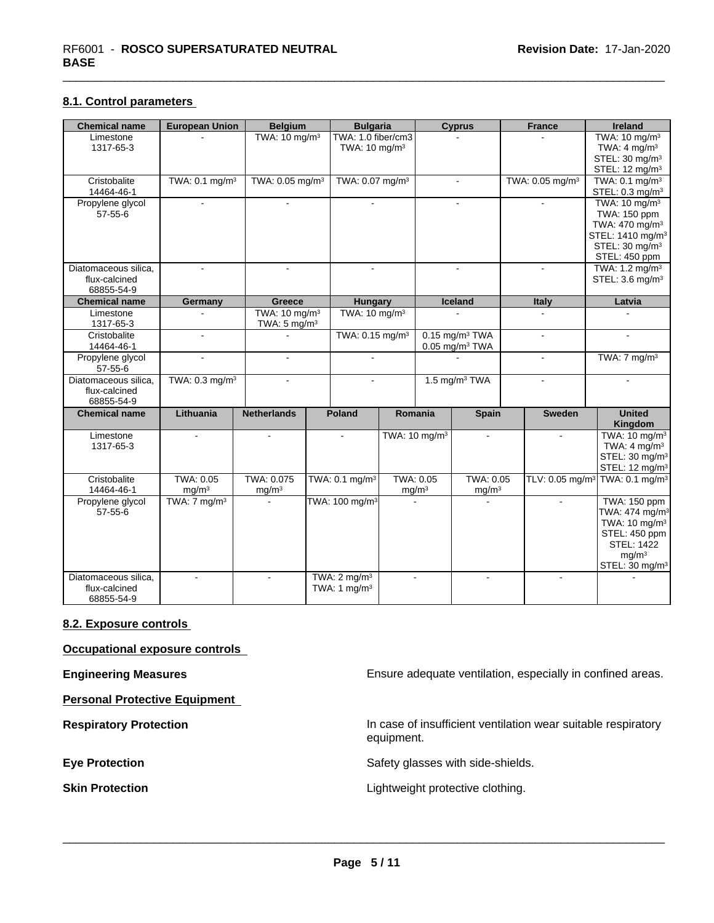#### **8.1. Control parameters**

| <b>Chemical name</b>                                | <b>European Union</b>          | <b>Belgium</b>                                       | <b>Bulgaria</b>                                 |                                | <b>Cyprus</b>                                                | <b>France</b>               | <b>Ireland</b>                                                                                                                                                          |
|-----------------------------------------------------|--------------------------------|------------------------------------------------------|-------------------------------------------------|--------------------------------|--------------------------------------------------------------|-----------------------------|-------------------------------------------------------------------------------------------------------------------------------------------------------------------------|
| Limestone<br>1317-65-3                              |                                | TWA: $10 \text{ mg/m}^3$                             | TWA: 1.0 fiber/cm3<br>TWA: 10 mg/m <sup>3</sup> |                                |                                                              |                             | TWA: $10 \text{ mg/m}^3$<br>TWA: $4 \text{ mg/m}^3$                                                                                                                     |
|                                                     |                                |                                                      |                                                 |                                |                                                              |                             | STEL: 30 mg/m <sup>3</sup><br>STEL: 12 mg/m <sup>3</sup>                                                                                                                |
| Cristobalite<br>14464-46-1                          | TWA: 0.1 mg/m <sup>3</sup>     | TWA: 0.05 mg/m <sup>3</sup>                          | TWA: 0.07 mg/m <sup>3</sup>                     |                                | $\blacksquare$                                               | TWA: 0.05 mg/m <sup>3</sup> | TWA: $0.1 \text{ mg/m}^3$<br>STEL: $0.3 \text{ mg/m}^3$                                                                                                                 |
| Propylene glycol<br>$57 - 55 - 6$                   |                                |                                                      |                                                 |                                |                                                              |                             | TWA: $10 \text{ mg/m}^3$<br>TWA: 150 ppm<br>TWA: 470 mg/m <sup>3</sup><br>STEL: 1410 mg/m <sup>3</sup><br>STEL: 30 mg/m <sup>3</sup><br>STEL: 450 ppm                   |
| Diatomaceous silica,<br>flux-calcined<br>68855-54-9 | $\sim$                         | $\sim$                                               | $\sim$                                          |                                | $\sim$                                                       | $\mathbf{r}$                | TWA: $1.2 \text{ mg/m}^3$<br>STEL: 3.6 mg/m <sup>3</sup>                                                                                                                |
| <b>Chemical name</b>                                | Germany                        | <b>Greece</b>                                        | <b>Hungary</b>                                  |                                | Iceland                                                      | <b>Italy</b>                | Latvia                                                                                                                                                                  |
| Limestone<br>1317-65-3                              |                                | TWA: 10 mg/m <sup>3</sup><br>TWA: $5 \text{ mg/m}^3$ | TWA: $10 \text{ mg/m}^3$                        |                                |                                                              |                             |                                                                                                                                                                         |
| Cristobalite<br>14464-46-1                          | $\sim$                         |                                                      | TWA: 0.15 mg/m <sup>3</sup>                     |                                | $0.15$ mg/m <sup>3</sup> TWA<br>$0.05$ mg/m <sup>3</sup> TWA | $\sim$                      | $\blacksquare$                                                                                                                                                          |
| Propylene glycol<br>$57 - 55 - 6$                   | $\overline{a}$                 | $\overline{a}$                                       |                                                 |                                |                                                              | $\sim$                      | TWA: $7 \text{ mg/m}^3$                                                                                                                                                 |
| Diatomaceous silica.<br>flux-calcined<br>68855-54-9 | TWA: 0.3 mg/m <sup>3</sup>     | $\sim$                                               | $\overline{a}$                                  |                                | 1.5 mg/m <sup>3</sup> TWA                                    | $\blacksquare$              | $\sim$                                                                                                                                                                  |
| <b>Chemical name</b>                                | Lithuania                      | <b>Netherlands</b>                                   | Poland                                          | Romania                        | <b>Spain</b>                                                 | <b>Sweden</b>               | <b>United</b><br>Kingdom                                                                                                                                                |
| Limestone<br>1317-65-3                              |                                |                                                      |                                                 | TWA: $10 \text{ mg/m}^3$       | $\blacksquare$                                               | $\sim$                      | TWA: 10 mg/m <sup>3</sup><br>TWA: $4 \text{ mg/m}^3$<br>STEL: 30 mg/m <sup>3</sup><br>STEL: 12 mg/m <sup>3</sup>                                                        |
| Cristobalite<br>14464-46-1                          | TWA: 0.05<br>mg/m <sup>3</sup> | TWA: 0.075<br>mg/m <sup>3</sup>                      | TWA: 0.1 mg/m <sup>3</sup>                      | TWA: 0.05<br>mg/m <sup>3</sup> | TWA: 0.05<br>mg/m <sup>3</sup>                               |                             | TLV: 0.05 mg/m <sup>3</sup> TWA: 0.1 mg/m <sup>3</sup>                                                                                                                  |
| Propylene glycol<br>$57 - 55 - 6$                   | TWA: $7 \text{ mg/m}^3$        |                                                      | TWA: 100 mg/m <sup>3</sup>                      |                                |                                                              |                             | <b>TWA: 150 ppm</b><br>TWA: 474 mg/m <sup>3</sup><br>TWA: 10 mg/m <sup>3</sup><br>STEL: 450 ppm<br><b>STEL: 1422</b><br>mg/m <sup>3</sup><br>STEL: 30 mg/m <sup>3</sup> |
| Diatomaceous silica,<br>flux-calcined<br>68855-54-9 |                                |                                                      | TWA: $2 \text{ mg/m}^3$<br>TWA: 1 $mg/m3$       |                                |                                                              |                             |                                                                                                                                                                         |

#### **8.2. Exposure controls**

**Occupational exposure controls**

**Personal Protective Equipment**

**Engineering Measures Engineering Measures Engineering Measures Ensure adequate ventilation**, especially in confined areas.

**Respiratory Protection In case of insufficient ventilation wear suitable respiratory** equipment.

**Eye Protection** Safety glasses with side-shields.

**Skin Protection Skin Protection Lightweight protective clothing.**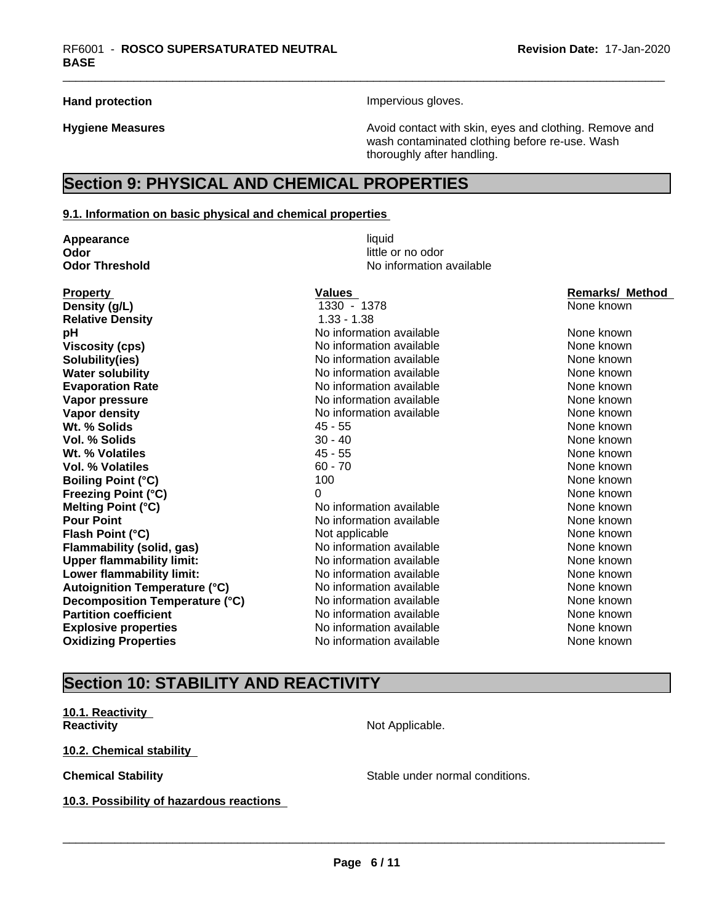Hand protection **Impervious** gloves.

**Hygiene Measures Avoid contact with skin, eyes and clothing. Remove and Hygiene Measures Avoid contact with skin, eyes and clothing. Remove and** wash contaminated clothing before re-use. Wash thoroughly after handling.

# **Section 9: PHYSICAL AND CHEMICAL PROPERTIES**

#### **9.1. Information on basic physical and chemical properties**

**Appearance** liquid **Odor** little or no odor

# **Odor Threshold** No information available

| <b>Property</b>                      | Values                   | <b>Remarks/ Method</b> |
|--------------------------------------|--------------------------|------------------------|
| Density (g/L)                        | 1330 - 1378              | None known             |
| <b>Relative Density</b>              | $1.33 - 1.38$            |                        |
| рH                                   | No information available | None known             |
| <b>Viscosity (cps)</b>               | No information available | None known             |
| Solubility(ies)                      | No information available | None known             |
| <b>Water solubility</b>              | No information available | None known             |
| <b>Evaporation Rate</b>              | No information available | None known             |
| Vapor pressure                       | No information available | None known             |
| <b>Vapor density</b>                 | No information available | None known             |
| Wt. % Solids                         | $45 - 55$                | None known             |
| Vol. % Solids                        | $30 - 40$                | None known             |
| Wt. % Volatiles                      | $45 - 55$                | None known             |
| <b>Vol. % Volatiles</b>              | $60 - 70$                | None known             |
| <b>Boiling Point (°C)</b>            | 100                      | None known             |
| <b>Freezing Point (°C)</b>           | 0                        | None known             |
| <b>Melting Point (°C)</b>            | No information available | None known             |
| <b>Pour Point</b>                    | No information available | None known             |
| Flash Point (°C)                     | Not applicable           | None known             |
| Flammability (solid, gas)            | No information available | None known             |
| <b>Upper flammability limit:</b>     | No information available | None known             |
| Lower flammability limit:            | No information available | None known             |
| <b>Autoignition Temperature (°C)</b> | No information available | None known             |
| Decomposition Temperature (°C)       | No information available | None known             |
| <b>Partition coefficient</b>         | No information available | None known             |
| <b>Explosive properties</b>          | No information available | None known             |
| <b>Oxidizing Properties</b>          | No information available | None known             |

# **Section 10: STABILITY AND REACTIVITY**

**10.1. Reactivity Reactivity** Not Applicable.

**10.2. Chemical stability**

**10.3. Possibility of hazardous reactions**

**Chemical Stability Stable under normal conditions.**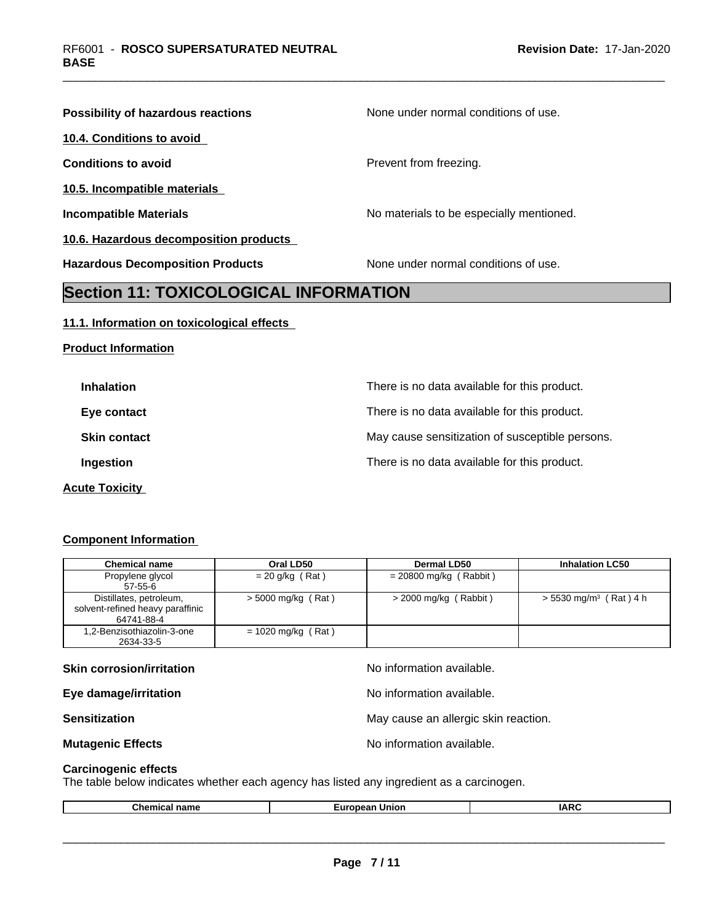| Possibility of hazardous reactions            | None under normal conditions of use.     |
|-----------------------------------------------|------------------------------------------|
| 10.4. Conditions to avoid                     |                                          |
| <b>Conditions to avoid</b>                    | Prevent from freezing.                   |
| 10.5. Incompatible materials                  |                                          |
| <b>Incompatible Materials</b>                 | No materials to be especially mentioned. |
| 10.6. Hazardous decomposition products        |                                          |
| <b>Hazardous Decomposition Products</b>       | None under normal conditions of use.     |
| <b>Continue 44. TOVICOLOGICAL INFODMATION</b> |                                          |

## **Section 11: TOXICOLOGICAL INFORMATION**

#### **11.1. Information on toxicological effects**

**Product Information**

| <b>Inhalation</b>     | There is no data available for this product.    |
|-----------------------|-------------------------------------------------|
| Eye contact           | There is no data available for this product.    |
| <b>Skin contact</b>   | May cause sensitization of susceptible persons. |
| Ingestion             | There is no data available for this product.    |
| <b>Acute Toxicity</b> |                                                 |

#### **Component Information**

| <b>Chemical name</b>                                                      | Oral LD50            | Dermal LD50              | <b>Inhalation LC50</b>               |
|---------------------------------------------------------------------------|----------------------|--------------------------|--------------------------------------|
| Propylene glycol<br>$57 - 55 - 6$                                         | $= 20$ g/kg (Rat)    | $= 20800$ mg/kg (Rabbit) |                                      |
| Distillates, petroleum,<br>solvent-refined heavy paraffinic<br>64741-88-4 | $>$ 5000 mg/kg (Rat) | $>$ 2000 mg/kg (Rabbit)  | $> 5530$ mg/m <sup>3</sup> (Rat) 4 h |
| 1,2-Benzisothiazolin-3-one<br>2634-33-5                                   | $= 1020$ mg/kg (Rat) |                          |                                      |

| No information available.            |
|--------------------------------------|
| No information available.            |
| May cause an allergic skin reaction. |
| No information available.            |
|                                      |

#### **Carcinogenic effects**

The table below indicates whether each agency has listed any ingredient as a carcinogen.

|  | ™≏<br>$ -$<br>name | .<br>union<br>. . | $\cdot$ AD $\prime$ |
|--|--------------------|-------------------|---------------------|
|--|--------------------|-------------------|---------------------|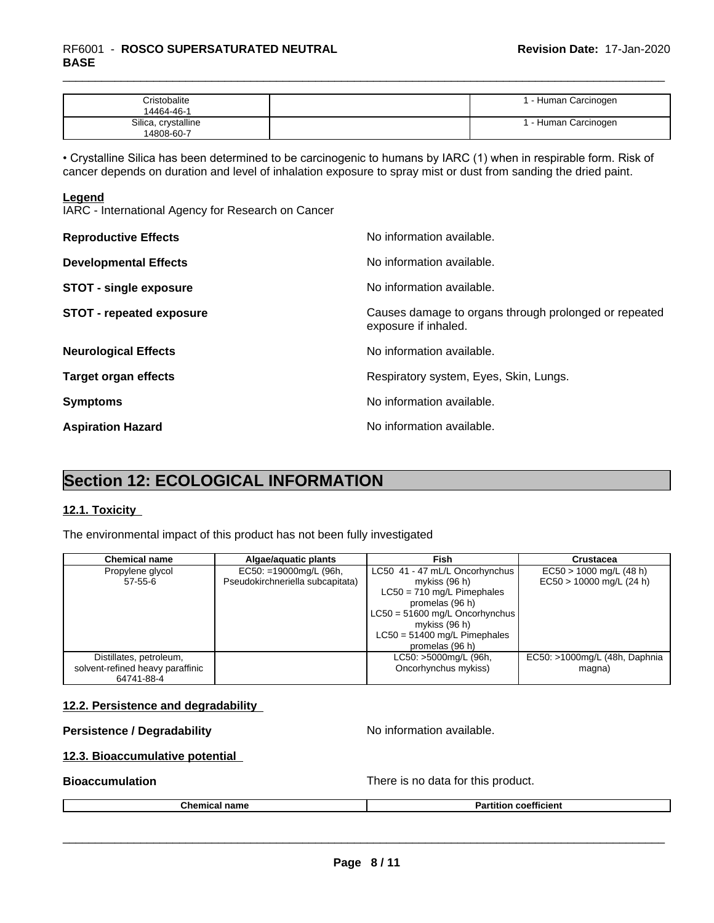# \_\_\_\_\_\_\_\_\_\_\_\_\_\_\_\_\_\_\_\_\_\_\_\_\_\_\_\_\_\_\_\_\_\_\_\_\_\_\_\_\_\_\_\_\_\_\_\_\_\_\_\_\_\_\_\_\_\_\_\_\_\_\_\_\_\_\_\_\_\_\_\_\_\_\_\_\_\_\_\_\_\_\_\_\_\_\_\_\_\_\_\_\_ RF6001 - **ROSCO SUPERSATURATED NEUTRAL BASE**

| <b>Cristobalite</b><br>14464-46-1 | I - Human Carcinogen |  |
|-----------------------------------|----------------------|--|
| Silica, crystalline<br>14808-60-7 | I - Human Carcinogen |  |

• Crystalline Silica has been determined to be carcinogenic to humans by IARC (1) when in respirable form. Risk of cancer depends on duration and level of inhalation exposure to spray mist or dust from sanding the dried paint.

#### **Legend**

IARC - International Agency for Research on Cancer

| <b>Reproductive Effects</b>     | No information available.                                                     |
|---------------------------------|-------------------------------------------------------------------------------|
| <b>Developmental Effects</b>    | No information available.                                                     |
| <b>STOT - single exposure</b>   | No information available.                                                     |
| <b>STOT - repeated exposure</b> | Causes damage to organs through prolonged or repeated<br>exposure if inhaled. |
| <b>Neurological Effects</b>     | No information available.                                                     |
| <b>Target organ effects</b>     | Respiratory system, Eyes, Skin, Lungs.                                        |
| <b>Symptoms</b>                 | No information available.                                                     |
| <b>Aspiration Hazard</b>        | No information available.                                                     |

# **Section 12: ECOLOGICAL INFORMATION**

#### **12.1. Toxicity**

The environmental impact of this product has not been fully investigated

| <b>Chemical name</b>             | Algae/aquatic plants             | Fish                             | <b>Crustacea</b>              |
|----------------------------------|----------------------------------|----------------------------------|-------------------------------|
| Propylene glycol                 | $EC50: =19000$ mg/L (96h,        | LC50 41 - 47 mL/L Oncorhynchus   | $EC50 > 1000$ mg/L (48 h)     |
| 57-55-6                          | Pseudokirchneriella subcapitata) | mykiss $(96 h)$                  | $EC50 > 10000$ mg/L (24 h)    |
|                                  |                                  | $LC50 = 710$ mg/L Pimephales     |                               |
|                                  |                                  | promelas (96 h)                  |                               |
|                                  |                                  | $LC50 = 51600$ mg/L Oncorhynchus |                               |
|                                  |                                  | mykiss $(96 h)$                  |                               |
|                                  |                                  | $LC50 = 51400$ mg/L Pimephales   |                               |
|                                  |                                  | promelas (96 h)                  |                               |
| Distillates, petroleum,          |                                  | LC50: >5000mg/L (96h,            | EC50: >1000mg/L (48h, Daphnia |
| solvent-refined heavy paraffinic |                                  | Oncorhynchus mykiss)             | magna)                        |
| 64741-88-4                       |                                  |                                  |                               |

#### **12.2. Persistence and degradability**

#### **Persistence / Degradability** No information available.

 $\overline{\phantom{a}}$  ,  $\overline{\phantom{a}}$  ,  $\overline{\phantom{a}}$  ,  $\overline{\phantom{a}}$  ,  $\overline{\phantom{a}}$  ,  $\overline{\phantom{a}}$  ,  $\overline{\phantom{a}}$  ,  $\overline{\phantom{a}}$  ,  $\overline{\phantom{a}}$  ,  $\overline{\phantom{a}}$  ,  $\overline{\phantom{a}}$  ,  $\overline{\phantom{a}}$  ,  $\overline{\phantom{a}}$  ,  $\overline{\phantom{a}}$  ,  $\overline{\phantom{a}}$  ,  $\overline{\phantom{a}}$ 

#### **12.3. Bioaccumulative potential**

**Bioaccumulation Bioaccumulation Bioaccumulation There is no data for this product.** 

| --- | ъ.   |
|-----|------|
| --  | . .  |
| .   | псен |
|     |      |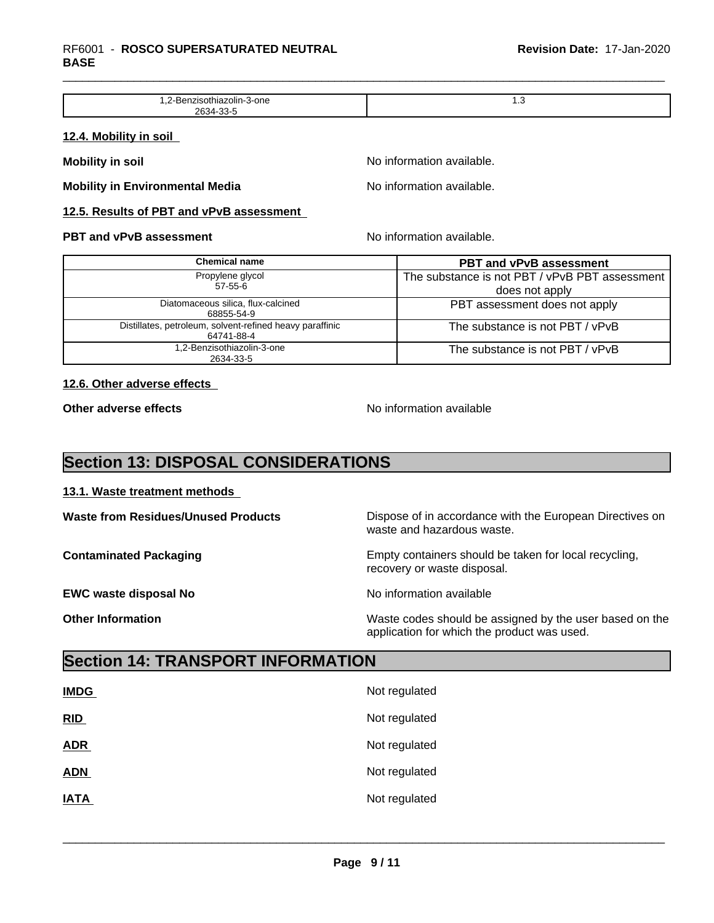| olin-3-one<br>ла.<br>. .<br>. | ن., |
|-------------------------------|-----|
| າຂາ<br>-371.                  |     |

#### **12.4. Mobility in soil**

**Mobility** in soil **Mobility** in soil

**Mobility in Environmental Media** Noinformation available.

#### **12.5. Results of PBT and vPvB assessment**

#### **PBT and vPvB assessment No information available.** No information available.

| Chemical name                                                          | <b>PBT and vPvB assessment</b>                                   |
|------------------------------------------------------------------------|------------------------------------------------------------------|
| Propylene glycol<br>57-55-6                                            | The substance is not PBT / vPvB PBT assessment<br>does not apply |
| Diatomaceous silica, flux-calcined<br>68855-54-9                       | PBT assessment does not apply                                    |
| Distillates, petroleum, solvent-refined heavy paraffinic<br>64741-88-4 | The substance is not PBT / vPvB                                  |
| 1,2-Benzisothiazolin-3-one<br>2634-33-5                                | The substance is not PBT / vPvB                                  |

#### **12.6. Other adverse effects**

**Other adverse effects** No information available

application for which the product was used.

# **Section 13: DISPOSAL CONSIDERATIONS**

#### **13.1. Waste treatment methods**

**Waste from Residues/Unused Products** Dispose of in accordance with the European Directives on waste and hazardous waste. **Contaminated Packaging <b>Empty Containers** should be taken for local recycling, recovery or waste disposal. **EWC waste disposal No** Noinformation available **Other Information** Waste codes should be assigned by the user based on the

# **Section 14: TRANSPORT INFORMATION**

| <b>IMDG</b> | Not regulated |
|-------------|---------------|
| RID         | Not regulated |
| <b>ADR</b>  | Not regulated |
| <b>ADN</b>  | Not regulated |
| <b>IATA</b> | Not regulated |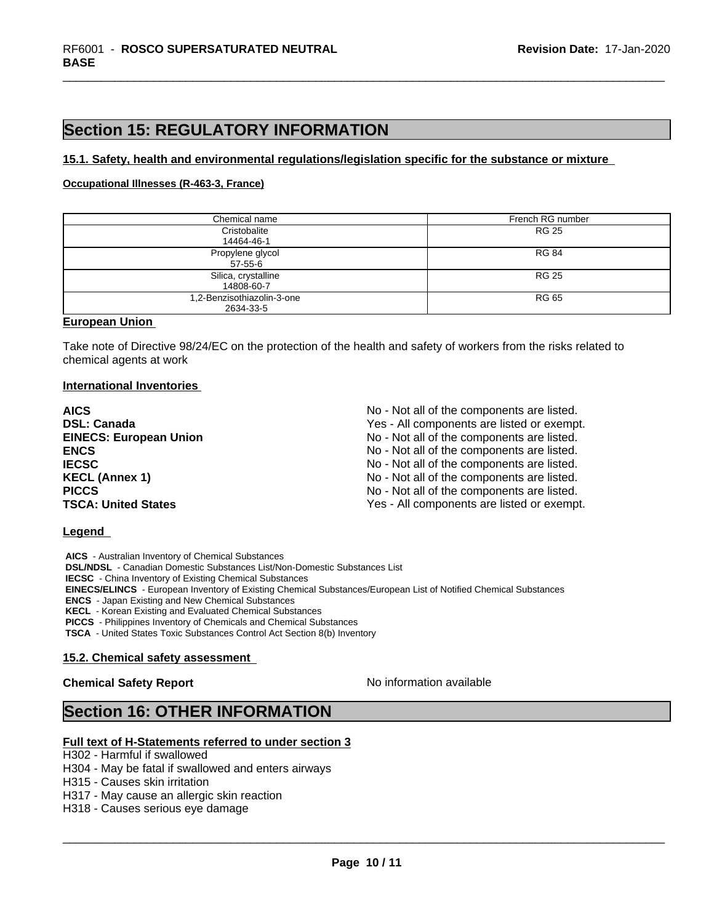# **Section 15: REGULATORY INFORMATION**

#### **15.1. Safety, health and environmental regulations/legislation specific for the substance or mixture**

#### **Occupational Illnesses (R-463-3, France)**

| Chemical name                           | French RG number |
|-----------------------------------------|------------------|
| Cristobalite<br>14464-46-1              | <b>RG 25</b>     |
| Propylene glycol<br>57-55-6             | <b>RG 84</b>     |
| Silica, crystalline<br>14808-60-7       | <b>RG 25</b>     |
| 1,2-Benzisothiazolin-3-one<br>2634-33-5 | RG 65            |

#### **European Union**

Take note of Directive 98/24/EC on the protection of the health and safety of workers from the risks related to chemical agents at work

#### **International Inventories**

| <b>AICS</b>                   | No - Not all of the components are listed. |
|-------------------------------|--------------------------------------------|
| <b>DSL: Canada</b>            | Yes - All components are listed or exempt. |
| <b>EINECS: European Union</b> | No - Not all of the components are listed. |
| <b>ENCS</b>                   | No - Not all of the components are listed. |
| <b>IECSC</b>                  | No - Not all of the components are listed. |
| <b>KECL (Annex 1)</b>         | No - Not all of the components are listed. |
| <b>PICCS</b>                  | No - Not all of the components are listed. |
| <b>TSCA: United States</b>    | Yes - All components are listed or exempt. |

#### **Legend**

 **AICS** - Australian Inventory of Chemical Substances

 **DSL/NDSL** - Canadian Domestic Substances List/Non-Domestic Substances List

 **IECSC** - China Inventory of Existing Chemical Substances

 **EINECS/ELINCS** - European Inventory of Existing Chemical Substances/European List of Notified Chemical Substances

 **ENCS** - Japan Existing and New Chemical Substances

 **KECL** - Korean Existing and Evaluated Chemical Substances

 **PICCS** - Philippines Inventory of Chemicals and Chemical Substances

 **TSCA** - United States Toxic Substances Control Act Section 8(b) Inventory

#### **15.2. Chemical safety assessment**

#### **Chemical Safety Report** No information available

 $\overline{\phantom{a}}$  ,  $\overline{\phantom{a}}$  ,  $\overline{\phantom{a}}$  ,  $\overline{\phantom{a}}$  ,  $\overline{\phantom{a}}$  ,  $\overline{\phantom{a}}$  ,  $\overline{\phantom{a}}$  ,  $\overline{\phantom{a}}$  ,  $\overline{\phantom{a}}$  ,  $\overline{\phantom{a}}$  ,  $\overline{\phantom{a}}$  ,  $\overline{\phantom{a}}$  ,  $\overline{\phantom{a}}$  ,  $\overline{\phantom{a}}$  ,  $\overline{\phantom{a}}$  ,  $\overline{\phantom{a}}$ 

## **Section 16: OTHER INFORMATION**

#### **Full text of H-Statements referred to under section 3**

H302 - Harmful if swallowed

H304 - May be fatal if swallowed and enters airways

H315 - Causes skin irritation

H317 - May cause an allergic skin reaction

H318 - Causes serious eye damage